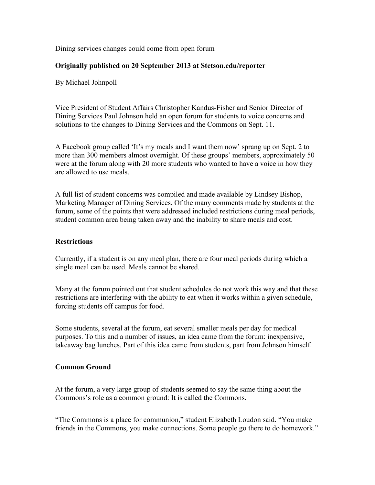Dining services changes could come from open forum

## **Originally published on 20 September 2013 at Stetson.edu/reporter**

By Michael Johnpoll

Vice President of Student Affairs Christopher Kandus-Fisher and Senior Director of Dining Services Paul Johnson held an open forum for students to voice concerns and solutions to the changes to Dining Services and the Commons on Sept. 11.

A Facebook group called 'It's my meals and I want them now' sprang up on Sept. 2 to more than 300 members almost overnight. Of these groups' members, approximately 50 were at the forum along with 20 more students who wanted to have a voice in how they are allowed to use meals.

A full list of student concerns was compiled and made available by Lindsey Bishop, Marketing Manager of Dining Services. Of the many comments made by students at the forum, some of the points that were addressed included restrictions during meal periods, student common area being taken away and the inability to share meals and cost.

## **Restrictions**

Currently, if a student is on any meal plan, there are four meal periods during which a single meal can be used. Meals cannot be shared.

Many at the forum pointed out that student schedules do not work this way and that these restrictions are interfering with the ability to eat when it works within a given schedule, forcing students off campus for food.

Some students, several at the forum, eat several smaller meals per day for medical purposes. To this and a number of issues, an idea came from the forum: inexpensive, takeaway bag lunches. Part of this idea came from students, part from Johnson himself.

## **Common Ground**

At the forum, a very large group of students seemed to say the same thing about the Commons's role as a common ground: It is called the Commons.

"The Commons is a place for communion," student Elizabeth Loudon said. "You make friends in the Commons, you make connections. Some people go there to do homework."